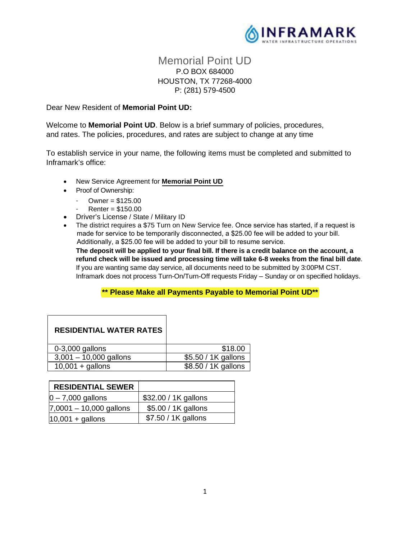

# Memorial Point UD P.O BOX 684000 HOUSTON, TX 77268-4000 P: (281) 579-4500

### Dear New Resident of **Memorial Point UD:**

Welcome to **Memorial Point UD**. Below is a brief summary of policies, procedures, and rates. The policies, procedures, and rates are subject to change at any time

To establish service in your name, the following items must be completed and submitted to Inframark's office:

- New Service Agreement for **Memorial Point UD**
- Proof of Ownership:
	- $O$ wner = \$125.00
	- $R$ enter = \$150.00
- Driver's License / State / Military ID
- The district requires a \$75 Turn on New Service fee. Once service has started, if a request is made for service to be temporarily disconnected, a \$25.00 fee will be added to your bill. Additionally, a \$25.00 fee will be added to your bill to resume service.

**The deposit will be applied to your final bill. If there is a credit balance on the account, a refund check will be issued and processing time will take 6-8 weeks from the final bill date**. If you are wanting same day service, all documents need to be submitted by 3:00PM CST. Inframark does not process Turn-On/Turn-Off requests Friday – Sunday or on specified holidays.

## **\*\* Please Make all Payments Payable to Memorial Point UD\*\***

| <b>RESIDENTIAL WATER RATES</b> |                     |
|--------------------------------|---------------------|
| $0-3,000$ gallons              | \$18.00             |
| $3,001 - 10,000$ gallons       | \$5.50 / 1K gallons |
| $10,001 +$ gallons             | \$8.50 / 1K gallons |

| <b>RESIDENTIAL SEWER</b>  |                      |
|---------------------------|----------------------|
| $ 0 - 7,000$ gallons      | \$32.00 / 1K gallons |
| $7,0001 - 10,000$ gallons | \$5.00 / 1K gallons  |
| $10,001 +$ gallons        | \$7.50 / 1K gallons  |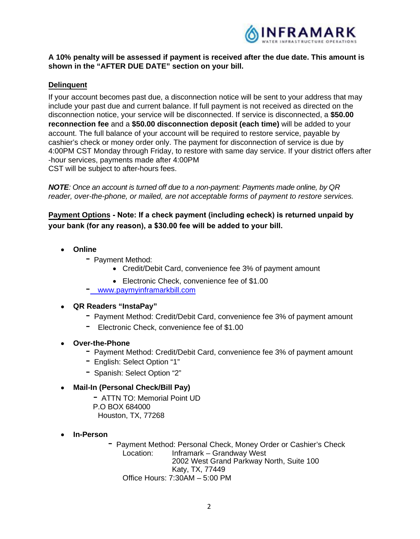

# **A 10% penalty will be assessed if payment is received after the due date. This amount is shown in the "AFTER DUE DATE" section on your bill.**

# **Delinquent**

If your account becomes past due, a disconnection notice will be sent to your address that may include your past due and current balance. If full payment is not received as directed on the disconnection notice, your service will be disconnected. If service is disconnected, a **\$50.00 reconnection fee** and a **\$50.00 disconnection deposit (each time)** will be added to your account. The full balance of your account will be required to restore service, payable by cashier's check or money order only. The payment for disconnection of service is due by 4:00PM CST Monday through Friday, to restore with same day service. If your district offers after -hour services, payments made after 4:00PM CST will be subject to after-hours fees.

*NOTE: Once an account is turned off due to a non-payment: Payments made online, by QR reader, over-the-phone, or mailed, are not acceptable forms of payment to restore services.*

**Payment Options Note: If a check payment (including echeck) is returned unpaid by your bank (for any reason), a \$30.00 fee will be added to your bill.**

- **Online** 
	- Payment Method:
		- Credit/Debit Card, convenience fee 3% of payment amount
		- Electronic Check, convenience fee of \$1.00
	- [www.paymyinframarkbill.com](http://www.paymyinframarkbill.com/)

#### **QR Readers "InstaPay"**

- Payment Method: Credit/Debit Card, convenience fee 3% of payment amount
- Electronic Check, convenience fee of \$1.00
- **Over-the-Phone** 
	- Payment Method: Credit/Debit Card, convenience fee 3% of payment amount
	- English: Select Option "1"
	- Spanish: Select Option "2"
- **Mail-In (Personal Check/Bill Pay)** 
	- ATTN TO: Memorial Point UD
	- P.O BOX 684000
	- Houston, TX, 77268
- **In-Person**

- Payment Method: Personal Check, Money Order or Cashier's Check Location: Inframark – Grandway West 2002 West Grand Parkway North, Suite 100 Katy, TX, 77449 Office Hours: 7:30AM – 5:00 PM